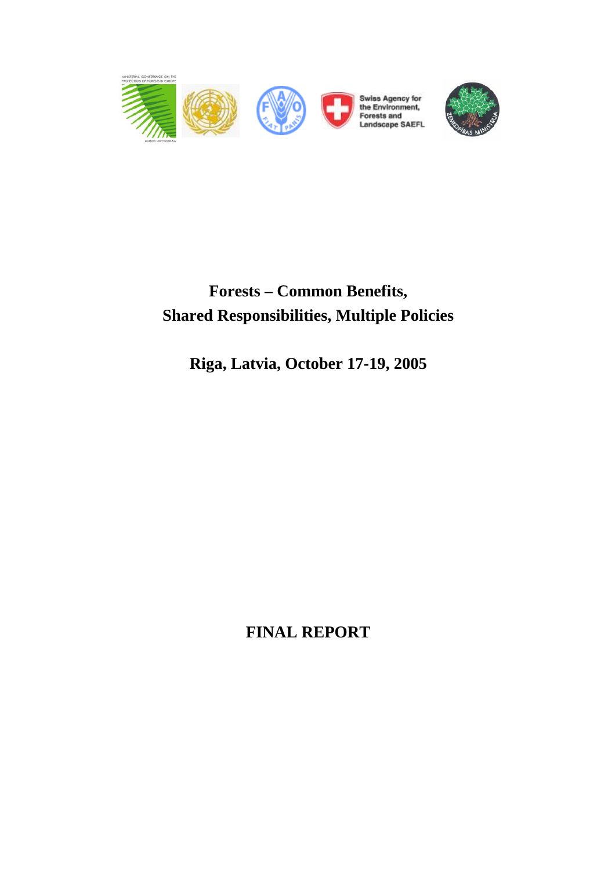



# **Forests – Common Benefits, Shared Responsibilities, Multiple Policies**

**Riga, Latvia, October 17-19, 2005** 

**FINAL REPORT**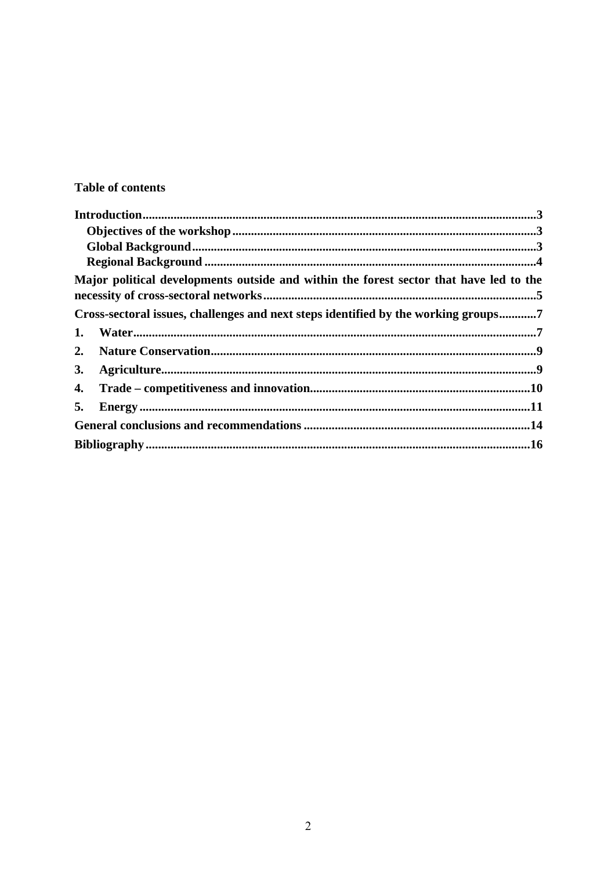### **Table of contents**

|           | Major political developments outside and within the forest sector that have led to the |
|-----------|----------------------------------------------------------------------------------------|
|           | Cross-sectoral issues, challenges and next steps identified by the working groups7     |
| 1.        |                                                                                        |
| 2.        |                                                                                        |
| <b>3.</b> |                                                                                        |
| 4.        |                                                                                        |
| 5.        |                                                                                        |
|           |                                                                                        |
|           |                                                                                        |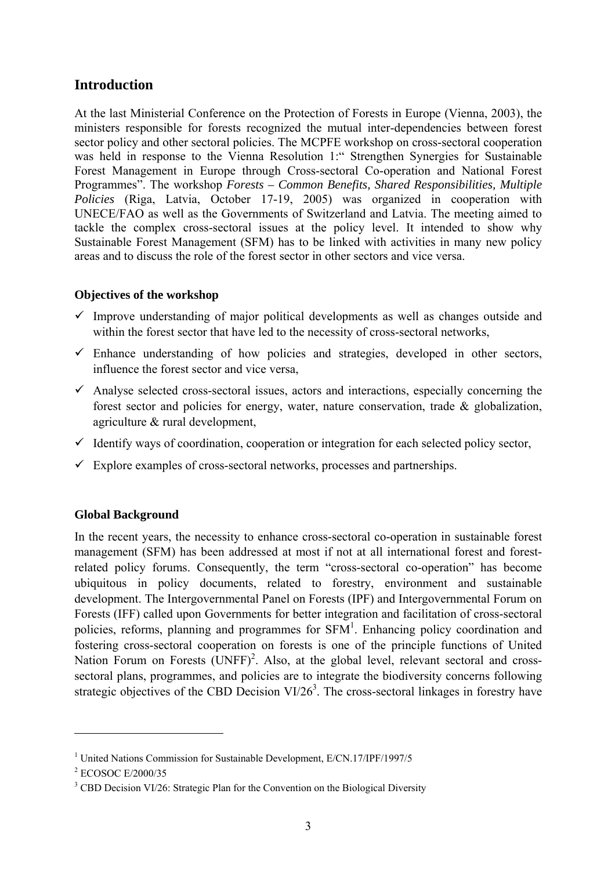### **Introduction**

At the last Ministerial Conference on the Protection of Forests in Europe (Vienna, 2003), the ministers responsible for forests recognized the mutual inter-dependencies between forest sector policy and other sectoral policies. The MCPFE workshop on cross-sectoral cooperation was held in response to the Vienna Resolution 1:" Strengthen Synergies for Sustainable Forest Management in Europe through Cross-sectoral Co-operation and National Forest Programmes". The workshop *Forests – Common Benefits, Shared Responsibilities, Multiple Policies* (Riga, Latvia, October 17-19, 2005) was organized in cooperation with UNECE/FAO as well as the Governments of Switzerland and Latvia. The meeting aimed to tackle the complex cross-sectoral issues at the policy level. It intended to show why Sustainable Forest Management (SFM) has to be linked with activities in many new policy areas and to discuss the role of the forest sector in other sectors and vice versa.

#### **Objectives of the workshop**

- $\checkmark$  Improve understanding of major political developments as well as changes outside and within the forest sector that have led to the necessity of cross-sectoral networks,
- $\checkmark$  Enhance understanding of how policies and strategies, developed in other sectors, influence the forest sector and vice versa,
- $\checkmark$  Analyse selected cross-sectoral issues, actors and interactions, especially concerning the forest sector and policies for energy, water, nature conservation, trade & globalization, agriculture & rural development,
- $\checkmark$  Identify ways of coordination, cooperation or integration for each selected policy sector,
- $\checkmark$  Explore examples of cross-sectoral networks, processes and partnerships.

#### **Global Background**

In the recent years, the necessity to enhance cross-sectoral co-operation in sustainable forest management (SFM) has been addressed at most if not at all international forest and forestrelated policy forums. Consequently, the term "cross-sectoral co-operation" has become ubiquitous in policy documents, related to forestry, environment and sustainable development. The Intergovernmental Panel on Forests (IPF) and Intergovernmental Forum on Forests (IFF) called upon Governments for better integration and facilitation of cross-sectoral policies, reforms, planning and programmes for  $SFM<sup>1</sup>$ . Enhancing policy coordination and fostering cross-sectoral cooperation on forests is one of the principle functions of United Nation Forum on Forests  $(UNFF)^2$ . Also, at the global level, relevant sectoral and crosssectoral plans, programmes, and policies are to integrate the biodiversity concerns following strategic objectives of the CBD Decision  $VI/26<sup>3</sup>$ . The cross-sectoral linkages in forestry have

 $\overline{a}$ 

<sup>&</sup>lt;sup>1</sup> United Nations Commission for Sustainable Development, E/CN.17/IPF/1997/5

<sup>2</sup> ECOSOC E/2000/35

<sup>&</sup>lt;sup>3</sup> CBD Decision VI/26: Strategic Plan for the Convention on the Biological Diversity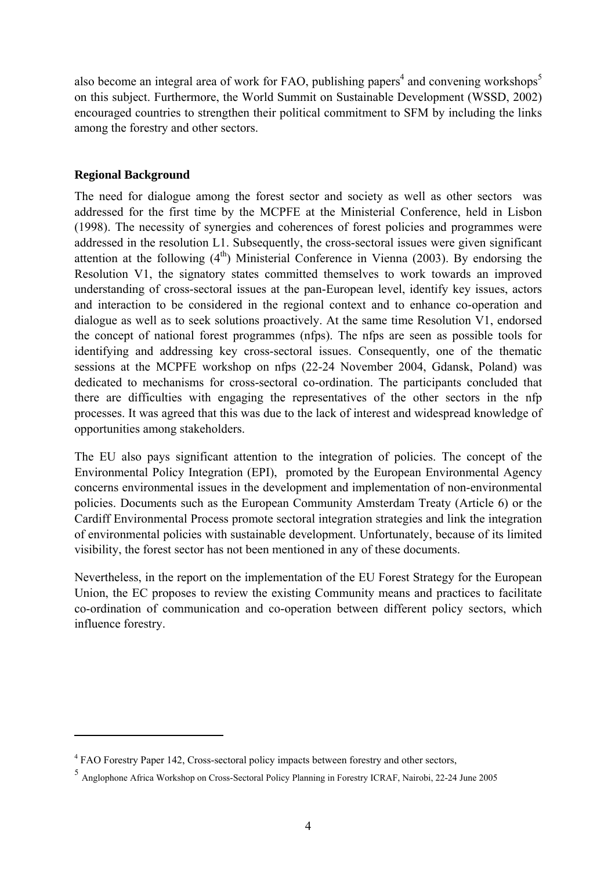also become an integral area of work for FAO, publishing papers<sup>4</sup> and convening workshops<sup>5</sup> on this subject. Furthermore, the World Summit on Sustainable Development (WSSD, 2002) encouraged countries to strengthen their political commitment to SFM by including the links among the forestry and other sectors.

#### **Regional Background**

 $\overline{a}$ 

The need for dialogue among the forest sector and society as well as other sectors was addressed for the first time by the MCPFE at the Ministerial Conference, held in Lisbon (1998). The necessity of synergies and coherences of forest policies and programmes were addressed in the resolution L1. Subsequently, the cross-sectoral issues were given significant attention at the following  $(4<sup>th</sup>)$  Ministerial Conference in Vienna (2003). By endorsing the Resolution V1, the signatory states committed themselves to work towards an improved understanding of cross-sectoral issues at the pan-European level, identify key issues, actors and interaction to be considered in the regional context and to enhance co-operation and dialogue as well as to seek solutions proactively. At the same time Resolution V1, endorsed the concept of national forest programmes (nfps). The nfps are seen as possible tools for identifying and addressing key cross-sectoral issues. Consequently, one of the thematic sessions at the MCPFE workshop on nfps (22-24 November 2004, Gdansk, Poland) was dedicated to mechanisms for cross-sectoral co-ordination. The participants concluded that there are difficulties with engaging the representatives of the other sectors in the nfp processes. It was agreed that this was due to the lack of interest and widespread knowledge of opportunities among stakeholders.

The EU also pays significant attention to the integration of policies. The concept of the Environmental Policy Integration (EPI), promoted by the European Environmental Agency concerns environmental issues in the development and implementation of non-environmental policies. Documents such as the European Community Amsterdam Treaty (Article 6) or the Cardiff Environmental Process promote sectoral integration strategies and link the integration of environmental policies with sustainable development. Unfortunately, because of its limited visibility, the forest sector has not been mentioned in any of these documents.

Nevertheless, in the report on the implementation of the EU Forest Strategy for the European Union, the EC proposes to review the existing Community means and practices to facilitate co-ordination of communication and co-operation between different policy sectors, which influence forestry.

<sup>&</sup>lt;sup>4</sup> FAO Forestry Paper 142, Cross-sectoral policy impacts between forestry and other sectors,

<sup>5</sup> Anglophone Africa Workshop on Cross-Sectoral Policy Planning in Forestry ICRAF, Nairobi, 22-24 June 2005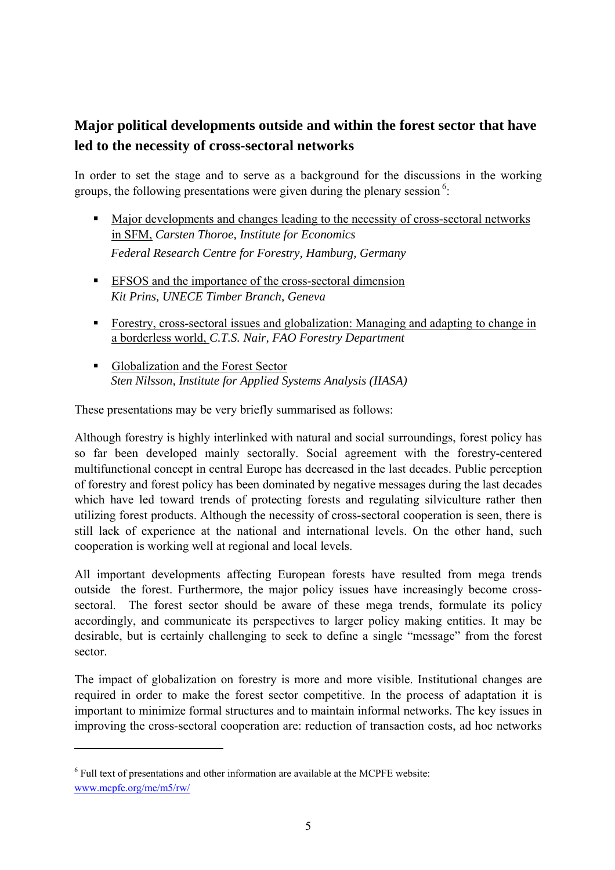# **Major political developments outside and within the forest sector that have led to the necessity of cross-sectoral networks**

In order to set the stage and to serve as a background for the discussions in the working groups, the following presentations were given during the plenary session<sup>6</sup>:

- Major developments and changes leading to the necessity of cross-sectoral networks in SFM, *Carsten Thoroe, Institute for Economics Federal Research Centre for Forestry, Hamburg, Germany*
- EFSOS and the importance of the cross-sectoral dimension *Kit Prins, UNECE Timber Branch, Geneva*
- Forestry, cross-sectoral issues and globalization: Managing and adapting to change in a borderless world, *C.T.S. Nair, FAO Forestry Department*
- Globalization and the Forest Sector *Sten Nilsson, Institute for Applied Systems Analysis (IIASA)*

These presentations may be very briefly summarised as follows:

Although forestry is highly interlinked with natural and social surroundings, forest policy has so far been developed mainly sectorally. Social agreement with the forestry-centered multifunctional concept in central Europe has decreased in the last decades. Public perception of forestry and forest policy has been dominated by negative messages during the last decades which have led toward trends of protecting forests and regulating silviculture rather then utilizing forest products. Although the necessity of cross-sectoral cooperation is seen, there is still lack of experience at the national and international levels. On the other hand, such cooperation is working well at regional and local levels.

All important developments affecting European forests have resulted from mega trends outside the forest. Furthermore, the major policy issues have increasingly become crosssectoral. The forest sector should be aware of these mega trends, formulate its policy accordingly, and communicate its perspectives to larger policy making entities. It may be desirable, but is certainly challenging to seek to define a single "message" from the forest sector.

The impact of globalization on forestry is more and more visible. Institutional changes are required in order to make the forest sector competitive. In the process of adaptation it is important to minimize formal structures and to maintain informal networks. The key issues in improving the cross-sectoral cooperation are: reduction of transaction costs, ad hoc networks

 $\overline{a}$ 

 $<sup>6</sup>$  Full text of presentations and other information are available at the MCPFE website:</sup> www.mcpfe.org/me/m5/rw/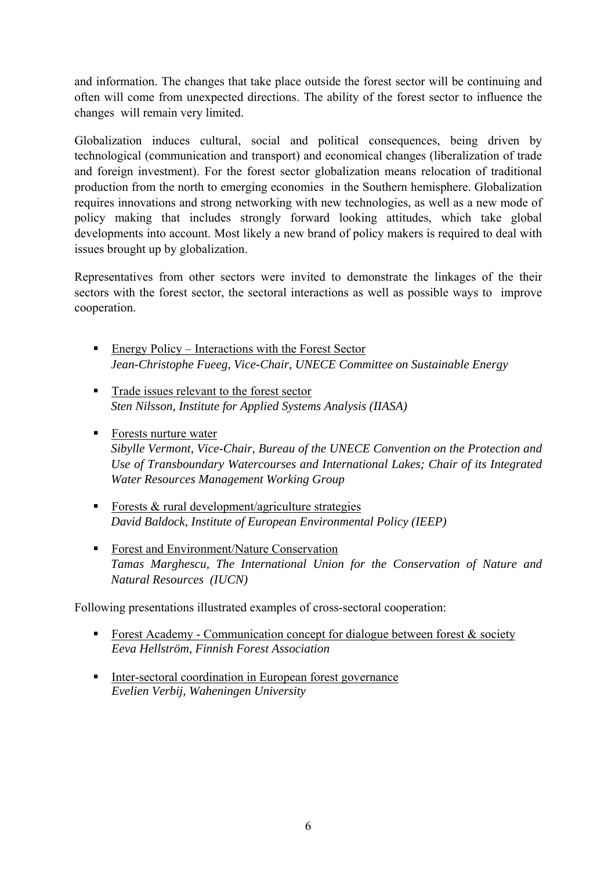and information. The changes that take place outside the forest sector will be continuing and often will come from unexpected directions. The ability of the forest sector to influence the changes will remain very limited.

Globalization induces cultural, social and political consequences, being driven by technological (communication and transport) and economical changes (liberalization of trade and foreign investment). For the forest sector globalization means relocation of traditional production from the north to emerging economies in the Southern hemisphere. Globalization requires innovations and strong networking with new technologies, as well as a new mode of policy making that includes strongly forward looking attitudes, which take global developments into account. Most likely a new brand of policy makers is required to deal with issues brought up by globalization.

Representatives from other sectors were invited to demonstrate the linkages of the their sectors with the forest sector, the sectoral interactions as well as possible ways to improve cooperation.

- Energy Policy Interactions with the Forest Sector *Jean-Christophe Fueeg, Vice-Chair, UNECE Committee on Sustainable Energy*
- Trade issues relevant to the forest sector *Sten Nilsson, Institute for Applied Systems Analysis (IIASA)*
- Forests nurture water *Sibylle Vermont, Vice-Chair, Bureau of the UNECE Convention on the Protection and Use of Transboundary Watercourses and International Lakes; Chair of its Integrated Water Resources Management Working Group*
- Forests  $&$  rural development/agriculture strategies *David Baldock, Institute of European Environmental Policy (IEEP)*
- Forest and Environment/Nature Conservation *Tamas Marghescu, The International Union for the Conservation of Nature and Natural Resources (IUCN)*

Following presentations illustrated examples of cross-sectoral cooperation:

- Forest Academy Communication concept for dialogue between forest  $\&$  society *Eeva Hellström, Finnish Forest Association*
- Inter-sectoral coordination in European forest governance *Evelien Verbij, Waheningen University*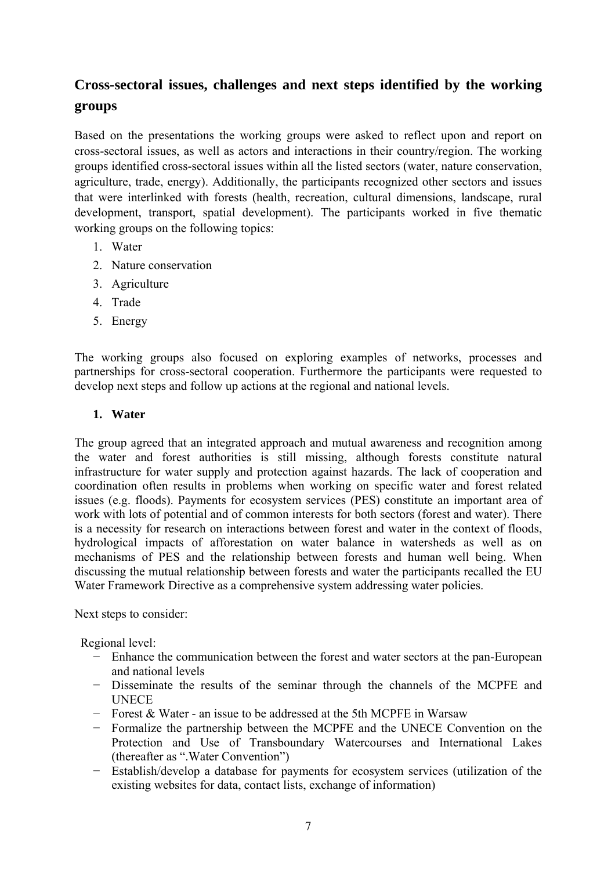# **Cross-sectoral issues, challenges and next steps identified by the working groups**

Based on the presentations the working groups were asked to reflect upon and report on cross-sectoral issues, as well as actors and interactions in their country/region. The working groups identified cross-sectoral issues within all the listed sectors (water, nature conservation, agriculture, trade, energy). Additionally, the participants recognized other sectors and issues that were interlinked with forests (health, recreation, cultural dimensions, landscape, rural development, transport, spatial development). The participants worked in five thematic working groups on the following topics:

- 1. Water
- 2. Nature conservation
- 3. Agriculture
- 4. Trade
- 5. Energy

The working groups also focused on exploring examples of networks, processes and partnerships for cross-sectoral cooperation. Furthermore the participants were requested to develop next steps and follow up actions at the regional and national levels.

#### **1. Water**

The group agreed that an integrated approach and mutual awareness and recognition among the water and forest authorities is still missing, although forests constitute natural infrastructure for water supply and protection against hazards. The lack of cooperation and coordination often results in problems when working on specific water and forest related issues (e.g. floods). Payments for ecosystem services (PES) constitute an important area of work with lots of potential and of common interests for both sectors (forest and water). There is a necessity for research on interactions between forest and water in the context of floods, hydrological impacts of afforestation on water balance in watersheds as well as on mechanisms of PES and the relationship between forests and human well being. When discussing the mutual relationship between forests and water the participants recalled the EU Water Framework Directive as a comprehensive system addressing water policies.

Next steps to consider:

Regional level:

- − Enhance the communication between the forest and water sectors at the pan-European and national levels
- − Disseminate the results of the seminar through the channels of the MCPFE and **UNECE**
- − Forest & Water an issue to be addressed at the 5th MCPFE in Warsaw
- − Formalize the partnership between the MCPFE and the UNECE Convention on the Protection and Use of Transboundary Watercourses and International Lakes (thereafter as ".Water Convention")
- − Establish/develop a database for payments for ecosystem services (utilization of the existing websites for data, contact lists, exchange of information)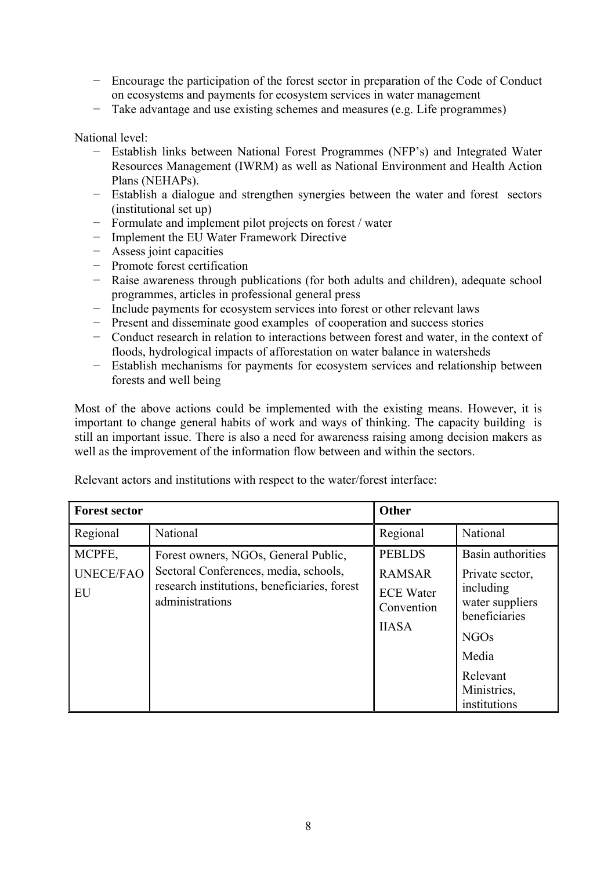- − Encourage the participation of the forest sector in preparation of the Code of Conduct on ecosystems and payments for ecosystem services in water management
- − Take advantage and use existing schemes and measures (e.g. Life programmes)

National level:

- − Establish links between National Forest Programmes (NFP's) and Integrated Water Resources Management (IWRM) as well as National Environment and Health Action Plans (NEHAPs).
- − Establish a dialogue and strengthen synergies between the water and forest sectors (institutional set up)
- − Formulate and implement pilot projects on forest / water
- − Implement the EU Water Framework Directive
- − Assess joint capacities
- − Promote forest certification
- − Raise awareness through publications (for both adults and children), adequate school programmes, articles in professional general press
- − Include payments for ecosystem services into forest or other relevant laws
- − Present and disseminate good examples of cooperation and success stories
- − Conduct research in relation to interactions between forest and water, in the context of floods, hydrological impacts of afforestation on water balance in watersheds
- − Establish mechanisms for payments for ecosystem services and relationship between forests and well being

Most of the above actions could be implemented with the existing means. However, it is important to change general habits of work and ways of thinking. The capacity building is still an important issue. There is also a need for awareness raising among decision makers as well as the improvement of the information flow between and within the sectors.

| <b>Forest sector</b>             |                                                                                                                                                  | <b>Other</b>                                                                     |                                                                                                                                                          |
|----------------------------------|--------------------------------------------------------------------------------------------------------------------------------------------------|----------------------------------------------------------------------------------|----------------------------------------------------------------------------------------------------------------------------------------------------------|
| Regional                         | National                                                                                                                                         | Regional                                                                         | National                                                                                                                                                 |
| MCPFE,<br><b>UNECE/FAO</b><br>EU | Forest owners, NGOs, General Public,<br>Sectoral Conferences, media, schools,<br>research institutions, beneficiaries, forest<br>administrations | <b>PEBLDS</b><br><b>RAMSAR</b><br><b>ECE Water</b><br>Convention<br><b>IIASA</b> | Basin authorities<br>Private sector,<br>including<br>water suppliers<br>beneficiaries<br><b>NGOs</b><br>Media<br>Relevant<br>Ministries,<br>institutions |

Relevant actors and institutions with respect to the water/forest interface: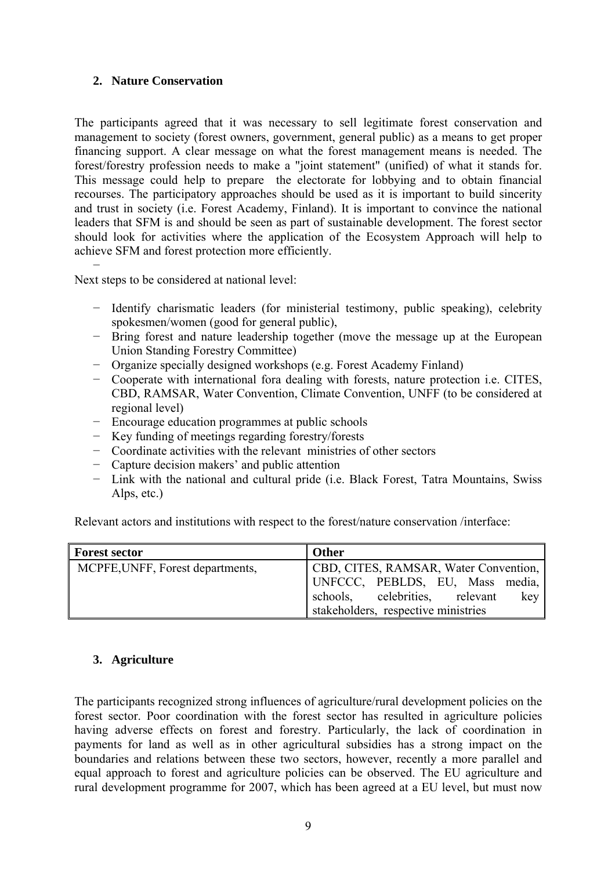#### **2. Nature Conservation**

The participants agreed that it was necessary to sell legitimate forest conservation and management to society (forest owners, government, general public) as a means to get proper financing support. A clear message on what the forest management means is needed. The forest/forestry profession needs to make a "joint statement" (unified) of what it stands for. This message could help to prepare the electorate for lobbying and to obtain financial recourses. The participatory approaches should be used as it is important to build sincerity and trust in society (i.e. Forest Academy, Finland). It is important to convince the national leaders that SFM is and should be seen as part of sustainable development. The forest sector should look for activities where the application of the Ecosystem Approach will help to achieve SFM and forest protection more efficiently.

− Next steps to be considered at national level:

- − Identify charismatic leaders (for ministerial testimony, public speaking), celebrity spokesmen/women (good for general public),
- − Bring forest and nature leadership together (move the message up at the European Union Standing Forestry Committee)
- − Organize specially designed workshops (e.g. Forest Academy Finland)
- − Cooperate with international fora dealing with forests, nature protection i.e. CITES, CBD, RAMSAR, Water Convention, Climate Convention, UNFF (to be considered at regional level)
- − Encourage education programmes at public schools
- − Key funding of meetings regarding forestry/forests
- − Coordinate activities with the relevant ministries of other sectors
- − Capture decision makers' and public attention
- − Link with the national and cultural pride (i.e. Black Forest, Tatra Mountains, Swiss Alps, etc.)

Relevant actors and institutions with respect to the forest/nature conservation /interface:

| <b>Forest sector</b>             | <b>Other</b>                          |
|----------------------------------|---------------------------------------|
| MCPFE, UNFF, Forest departments, | CBD, CITES, RAMSAR, Water Convention, |
|                                  | UNFCCC, PEBLDS, EU, Mass media,       |
|                                  | schools, celebrities, relevant<br>key |
|                                  | stakeholders, respective ministries   |

#### **3. Agriculture**

The participants recognized strong influences of agriculture/rural development policies on the forest sector. Poor coordination with the forest sector has resulted in agriculture policies having adverse effects on forest and forestry. Particularly, the lack of coordination in payments for land as well as in other agricultural subsidies has a strong impact on the boundaries and relations between these two sectors, however, recently a more parallel and equal approach to forest and agriculture policies can be observed. The EU agriculture and rural development programme for 2007, which has been agreed at a EU level, but must now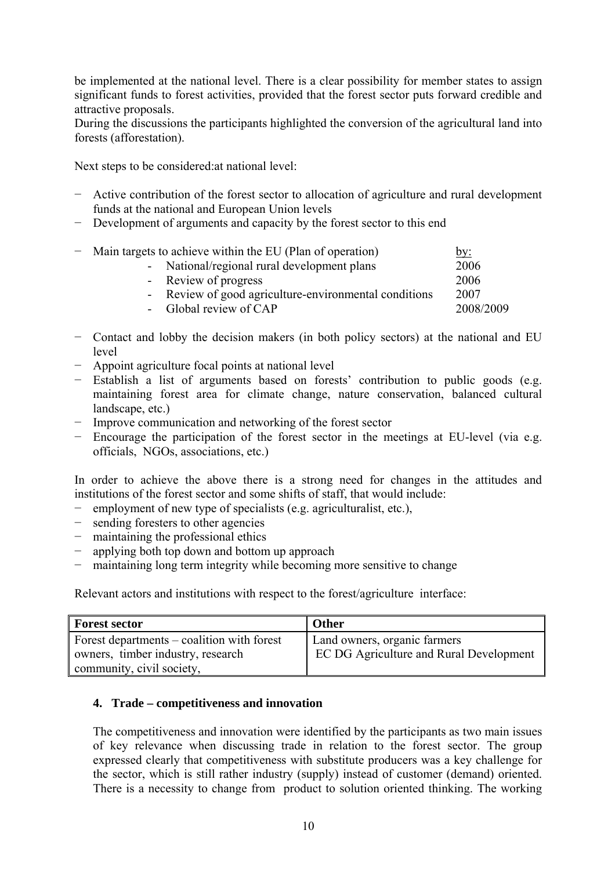be implemented at the national level. There is a clear possibility for member states to assign significant funds to forest activities, provided that the forest sector puts forward credible and attractive proposals.

During the discussions the participants highlighted the conversion of the agricultural land into forests (afforestation).

Next steps to be considered:at national level:

- − Active contribution of the forest sector to allocation of agriculture and rural development funds at the national and European Union levels
- − Development of arguments and capacity by the forest sector to this end

| - Main targets to achieve within the EU (Plan of operation) | by:       |
|-------------------------------------------------------------|-----------|
| - National/regional rural development plans                 | 2006      |
| - Review of progress                                        | 2006      |
| - Review of good agriculture-environmental conditions       | 2007      |
| - Global review of CAP                                      | 2008/2009 |
|                                                             |           |

- − Contact and lobby the decision makers (in both policy sectors) at the national and EU level
- − Appoint agriculture focal points at national level
- − Establish a list of arguments based on forests' contribution to public goods (e.g. maintaining forest area for climate change, nature conservation, balanced cultural landscape, etc.)
- − Improve communication and networking of the forest sector
- − Encourage the participation of the forest sector in the meetings at EU-level (via e.g. officials, NGOs, associations, etc.)

In order to achieve the above there is a strong need for changes in the attitudes and institutions of the forest sector and some shifts of staff, that would include:

- − employment of new type of specialists (e.g. agriculturalist, etc.),
- − sending foresters to other agencies
- − maintaining the professional ethics
- − applying both top down and bottom up approach
- − maintaining long term integrity while becoming more sensitive to change

Relevant actors and institutions with respect to the forest/agriculture interface:

| Forest sector                                | Other                                          |
|----------------------------------------------|------------------------------------------------|
| Forest departments $-$ coalition with forest | Land owners, organic farmers                   |
| owners, timber industry, research            | <b>EC DG Agriculture and Rural Development</b> |
| community, civil society,                    |                                                |

#### **4. Trade – competitiveness and innovation**

The competitiveness and innovation were identified by the participants as two main issues of key relevance when discussing trade in relation to the forest sector. The group expressed clearly that competitiveness with substitute producers was a key challenge for the sector, which is still rather industry (supply) instead of customer (demand) oriented. There is a necessity to change from product to solution oriented thinking. The working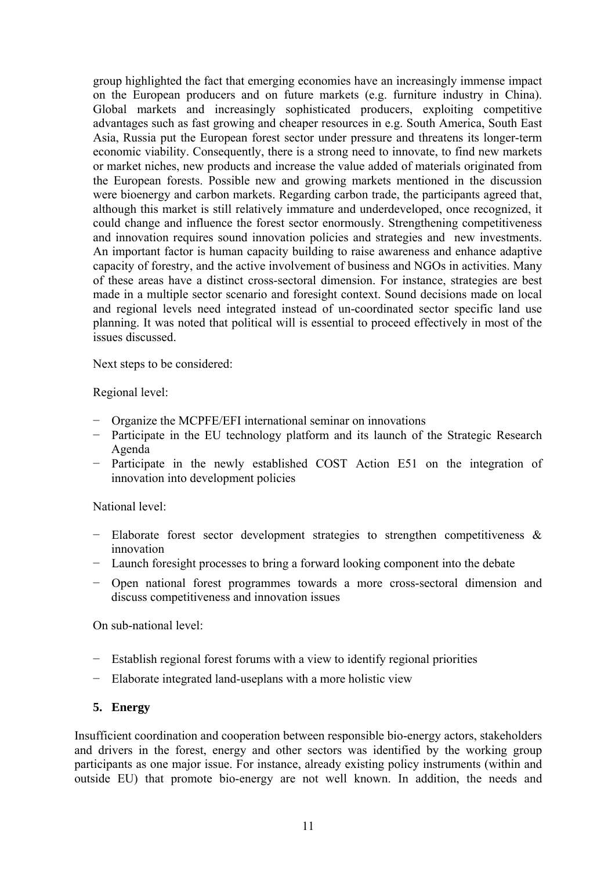group highlighted the fact that emerging economies have an increasingly immense impact on the European producers and on future markets (e.g. furniture industry in China). Global markets and increasingly sophisticated producers, exploiting competitive advantages such as fast growing and cheaper resources in e.g. South America, South East Asia, Russia put the European forest sector under pressure and threatens its longer-term economic viability. Consequently, there is a strong need to innovate, to find new markets or market niches, new products and increase the value added of materials originated from the European forests. Possible new and growing markets mentioned in the discussion were bioenergy and carbon markets. Regarding carbon trade, the participants agreed that, although this market is still relatively immature and underdeveloped, once recognized, it could change and influence the forest sector enormously. Strengthening competitiveness and innovation requires sound innovation policies and strategies and new investments. An important factor is human capacity building to raise awareness and enhance adaptive capacity of forestry, and the active involvement of business and NGOs in activities. Many of these areas have a distinct cross-sectoral dimension. For instance, strategies are best made in a multiple sector scenario and foresight context. Sound decisions made on local and regional levels need integrated instead of un-coordinated sector specific land use planning. It was noted that political will is essential to proceed effectively in most of the issues discussed.

Next steps to be considered:

Regional level:

- − Organize the MCPFE/EFI international seminar on innovations
- − Participate in the EU technology platform and its launch of the Strategic Research Agenda
- − Participate in the newly established COST Action E51 on the integration of innovation into development policies

National level:

- − Elaborate forest sector development strategies to strengthen competitiveness & innovation
- − Launch foresight processes to bring a forward looking component into the debate
- − Open national forest programmes towards a more cross-sectoral dimension and discuss competitiveness and innovation issues

On sub-national level:

- − Establish regional forest forums with a view to identify regional priorities
- − Elaborate integrated land-useplans with a more holistic view

#### **5. Energy**

Insufficient coordination and cooperation between responsible bio-energy actors, stakeholders and drivers in the forest, energy and other sectors was identified by the working group participants as one major issue. For instance, already existing policy instruments (within and outside EU) that promote bio-energy are not well known. In addition, the needs and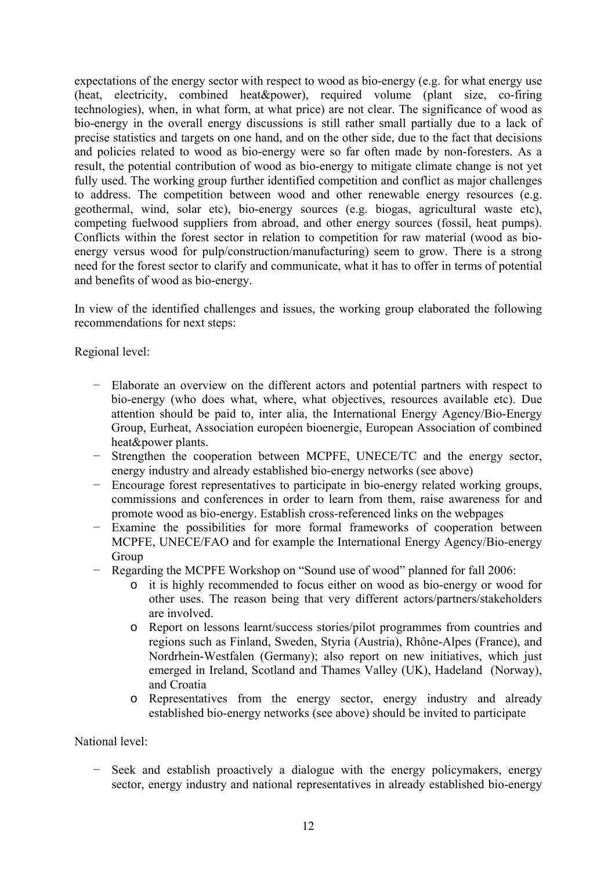expectations of the energy sector with respect to wood as bio-energy (e.g. for what energy use (heat, electricity, combined heat&power), required volume (plant size, co-firing technologies), when, in what form, at what price) are not clear. The significance of wood as bio-energy in the overall energy discussions is still rather small partially due to a lack of precise statistics and targets on one hand, and on the other side, due to the fact that decisions and policies related to wood as bio-energy were so far often made by non-foresters. As a result, the potential contribution of wood as bio-energy to mitigate climate change is not yet fully used. The working group further identified competition and conflict as major challenges to address. The competition between wood and other renewable energy resources (e.g. geothermal, wind, solar etc), bio-energy sources (e.g. biogas, agricultural waste etc), competing fuelwood suppliers from abroad, and other energy sources (fossil, heat pumps). Conflicts within the forest sector in relation to competition for raw material (wood as bioenergy versus wood for pulp/construction/manufacturing) seem to grow. There is a strong need for the forest sector to clarify and communicate, what it has to offer in terms of potential and benefits of wood as bio-energy.

In view of the identified challenges and issues, the working group elaborated the following recommendations for next steps:

Regional level:

- − Elaborate an overview on the different actors and potential partners with respect to bio-energy (who does what, where, what objectives, resources available etc). Due attention should be paid to, inter alia, the International Energy Agency/Bio-Energy Group, Eurheat, Association européen bioenergie, European Association of combined heat&power plants.
- − Strengthen the cooperation between MCPFE, UNECE/TC and the energy sector, energy industry and already established bio-energy networks (see above)
- − Encourage forest representatives to participate in bio-energy related working groups, commissions and conferences in order to learn from them, raise awareness for and promote wood as bio-energy. Establish cross-referenced links on the webpages
- − Examine the possibilities for more formal frameworks of cooperation between MCPFE, UNECE/FAO and for example the International Energy Agency/Bio-energy Group
- − Regarding the MCPFE Workshop on "Sound use of wood" planned for fall 2006:
	- o it is highly recommended to focus either on wood as bio-energy or wood for other uses. The reason being that very different actors/partners/stakeholders are involved.
	- o Report on lessons learnt/success stories/pilot programmes from countries and regions such as Finland, Sweden, Styria (Austria), Rhône-Alpes (France), and Nordrhein-Westfalen (Germany); also report on new initiatives, which just emerged in Ireland, Scotland and Thames Valley (UK), Hadeland (Norway), and Croatia
	- o Representatives from the energy sector, energy industry and already established bio-energy networks (see above) should be invited to participate

National level:

− Seek and establish proactively a dialogue with the energy policymakers, energy sector, energy industry and national representatives in already established bio-energy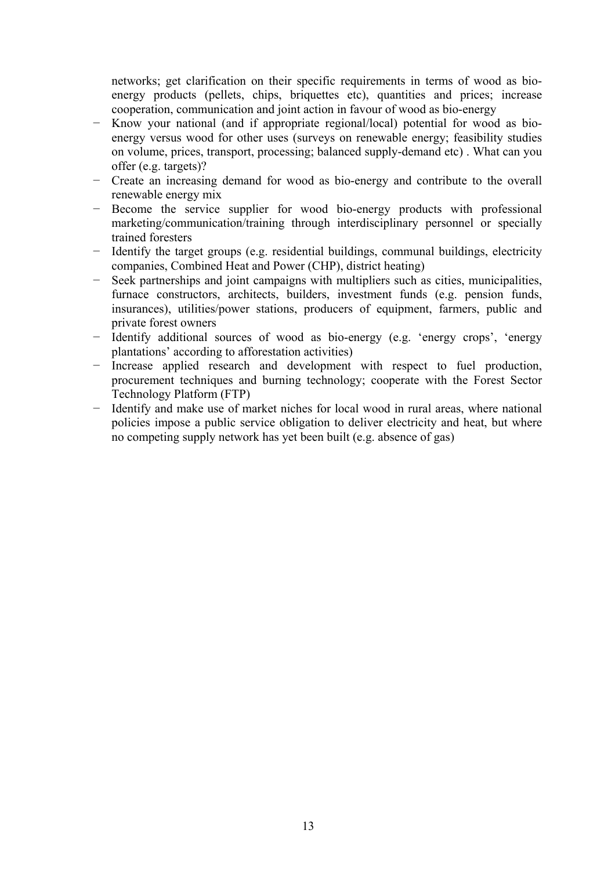networks; get clarification on their specific requirements in terms of wood as bioenergy products (pellets, chips, briquettes etc), quantities and prices; increase cooperation, communication and joint action in favour of wood as bio-energy

- − Know your national (and if appropriate regional/local) potential for wood as bioenergy versus wood for other uses (surveys on renewable energy; feasibility studies on volume, prices, transport, processing; balanced supply-demand etc) . What can you offer (e.g. targets)?
- − Create an increasing demand for wood as bio-energy and contribute to the overall renewable energy mix
- − Become the service supplier for wood bio-energy products with professional marketing/communication/training through interdisciplinary personnel or specially trained foresters
- − Identify the target groups (e.g. residential buildings, communal buildings, electricity companies, Combined Heat and Power (CHP), district heating)
- − Seek partnerships and joint campaigns with multipliers such as cities, municipalities, furnace constructors, architects, builders, investment funds (e.g. pension funds, insurances), utilities/power stations, producers of equipment, farmers, public and private forest owners
- − Identify additional sources of wood as bio-energy (e.g. 'energy crops', 'energy plantations' according to afforestation activities)
- − Increase applied research and development with respect to fuel production, procurement techniques and burning technology; cooperate with the Forest Sector Technology Platform (FTP)
- − Identify and make use of market niches for local wood in rural areas, where national policies impose a public service obligation to deliver electricity and heat, but where no competing supply network has yet been built (e.g. absence of gas)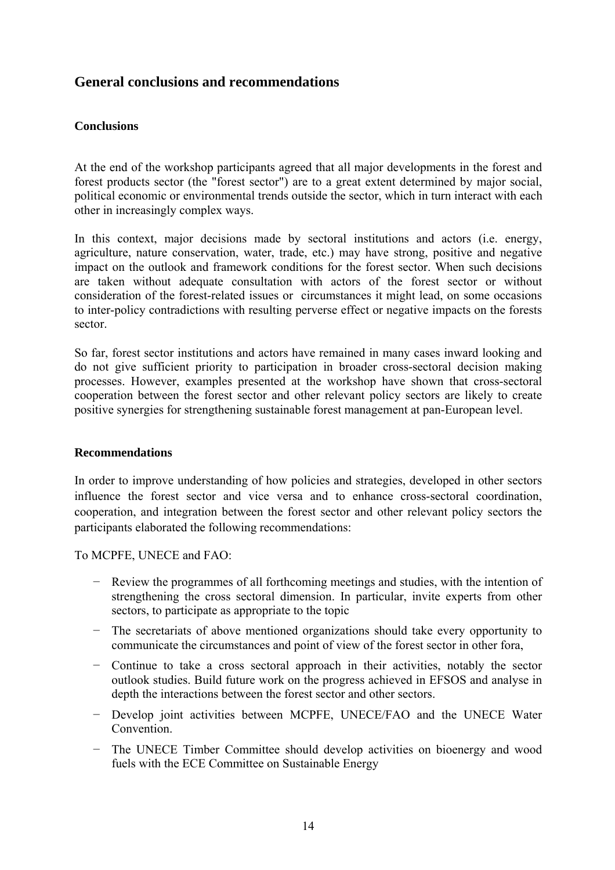### **General conclusions and recommendations**

#### **Conclusions**

At the end of the workshop participants agreed that all major developments in the forest and forest products sector (the "forest sector") are to a great extent determined by major social, political economic or environmental trends outside the sector, which in turn interact with each other in increasingly complex ways.

In this context, major decisions made by sectoral institutions and actors (i.e. energy, agriculture, nature conservation, water, trade, etc.) may have strong, positive and negative impact on the outlook and framework conditions for the forest sector. When such decisions are taken without adequate consultation with actors of the forest sector or without consideration of the forest-related issues or circumstances it might lead, on some occasions to inter-policy contradictions with resulting perverse effect or negative impacts on the forests sector.

So far, forest sector institutions and actors have remained in many cases inward looking and do not give sufficient priority to participation in broader cross-sectoral decision making processes. However, examples presented at the workshop have shown that cross-sectoral cooperation between the forest sector and other relevant policy sectors are likely to create positive synergies for strengthening sustainable forest management at pan-European level.

#### **Recommendations**

In order to improve understanding of how policies and strategies, developed in other sectors influence the forest sector and vice versa and to enhance cross-sectoral coordination, cooperation, and integration between the forest sector and other relevant policy sectors the participants elaborated the following recommendations:

To MCPFE, UNECE and FAO:

- − Review the programmes of all forthcoming meetings and studies, with the intention of strengthening the cross sectoral dimension. In particular, invite experts from other sectors, to participate as appropriate to the topic
- − The secretariats of above mentioned organizations should take every opportunity to communicate the circumstances and point of view of the forest sector in other fora,
- − Continue to take a cross sectoral approach in their activities, notably the sector outlook studies. Build future work on the progress achieved in EFSOS and analyse in depth the interactions between the forest sector and other sectors.
- − Develop joint activities between MCPFE, UNECE/FAO and the UNECE Water Convention.
- − The UNECE Timber Committee should develop activities on bioenergy and wood fuels with the ECE Committee on Sustainable Energy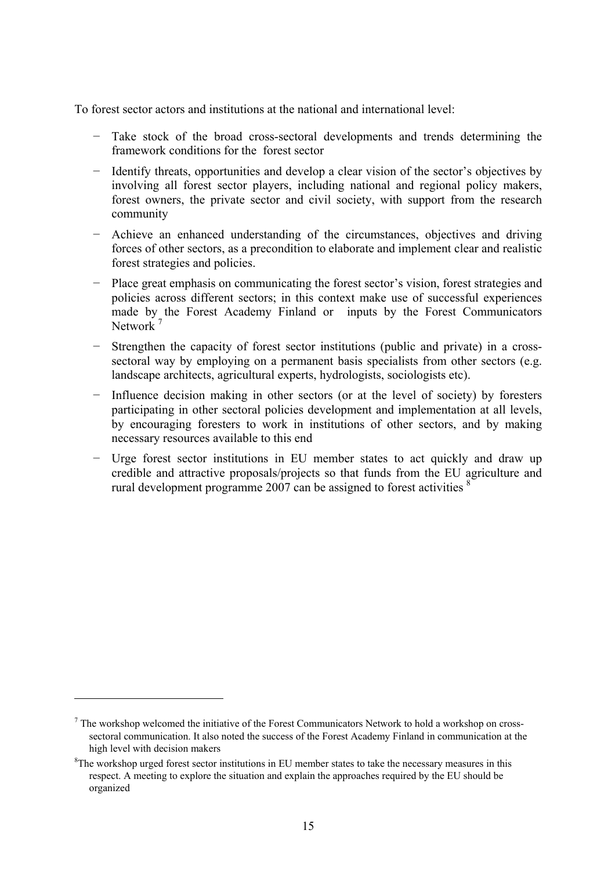To forest sector actors and institutions at the national and international level:

- Take stock of the broad cross-sectoral developments and trends determining the framework conditions for the forest sector
- − Identify threats, opportunities and develop a clear vision of the sector's objectives by involving all forest sector players, including national and regional policy makers, forest owners, the private sector and civil society, with support from the research community
- − Achieve an enhanced understanding of the circumstances, objectives and driving forces of other sectors, as a precondition to elaborate and implement clear and realistic forest strategies and policies.
- − Place great emphasis on communicating the forest sector's vision, forest strategies and policies across different sectors; in this context make use of successful experiences made by the Forest Academy Finland or inputs by the Forest Communicators Network<sup>7</sup>
- Strengthen the capacity of forest sector institutions (public and private) in a crosssectoral way by employing on a permanent basis specialists from other sectors (e.g. landscape architects, agricultural experts, hydrologists, sociologists etc).
- Influence decision making in other sectors (or at the level of society) by foresters participating in other sectoral policies development and implementation at all levels, by encouraging foresters to work in institutions of other sectors, and by making necessary resources available to this end
- − Urge forest sector institutions in EU member states to act quickly and draw up credible and attractive proposals/projects so that funds from the EU agriculture and rural development programme 2007 can be assigned to forest activities  $\frac{8}{3}$

 $\overline{a}$ 

 $<sup>7</sup>$  The workshop welcomed the initiative of the Forest Communicators Network to hold a workshop on cross-</sup> sectoral communication. It also noted the success of the Forest Academy Finland in communication at the high level with decision makers

 ${}^{8}$ The workshop urged forest sector institutions in EU member states to take the necessary measures in this respect. A meeting to explore the situation and explain the approaches required by the EU should be organized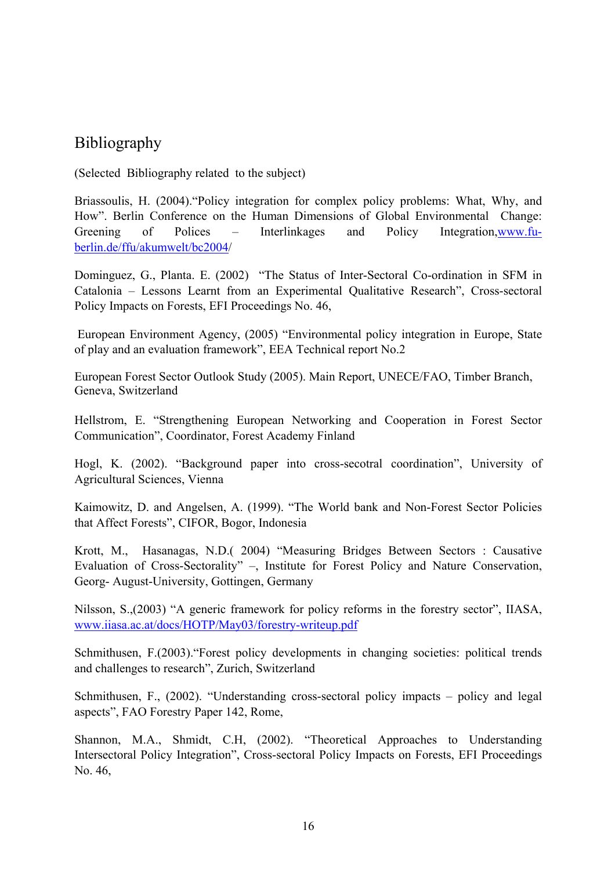## Bibliography

(Selected Bibliography related to the subject)

Briassoulis, H. (2004)."Policy integration for complex policy problems: What, Why, and How". Berlin Conference on the Human Dimensions of Global Environmental Change: Greening of Polices – Interlinkages and Policy Integration, www.fuberlin.de/ffu/akumwelt/bc2004/

Dominguez, G., Planta. E. (2002) "The Status of Inter-Sectoral Co-ordination in SFM in Catalonia – Lessons Learnt from an Experimental Qualitative Research", Cross-sectoral Policy Impacts on Forests, EFI Proceedings No. 46,

 European Environment Agency, (2005) "Environmental policy integration in Europe, State of play and an evaluation framework", EEA Technical report No.2

European Forest Sector Outlook Study (2005). Main Report, UNECE/FAO, Timber Branch, Geneva, Switzerland

Hellstrom, E. "Strengthening European Networking and Cooperation in Forest Sector Communication", Coordinator, Forest Academy Finland

Hogl, K. (2002). "Background paper into cross-secotral coordination", University of Agricultural Sciences, Vienna

Kaimowitz, D. and Angelsen, A. (1999). "The World bank and Non-Forest Sector Policies that Affect Forests", CIFOR, Bogor, Indonesia

Krott, M., Hasanagas, N.D.( 2004) "Measuring Bridges Between Sectors : Causative Evaluation of Cross-Sectorality" –, Institute for Forest Policy and Nature Conservation, Georg- August-University, Gottingen, Germany

Nilsson, S.,(2003) "A generic framework for policy reforms in the forestry sector", IIASA, www.iiasa.ac.at/docs/HOTP/May03/forestry-writeup.pdf

Schmithusen, F.(2003)."Forest policy developments in changing societies: political trends and challenges to research", Zurich, Switzerland

Schmithusen, F., (2002). "Understanding cross-sectoral policy impacts – policy and legal aspects", FAO Forestry Paper 142, Rome,

Shannon, M.A., Shmidt, C.H, (2002). "Theoretical Approaches to Understanding Intersectoral Policy Integration", Cross-sectoral Policy Impacts on Forests, EFI Proceedings No. 46,